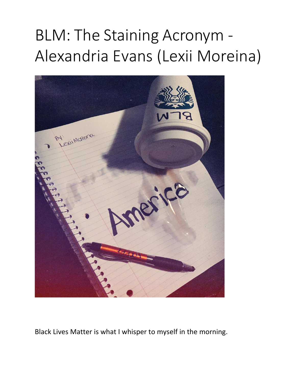## BLM: The Staining Acronym - Alexandria Evans (Lexii Moreina)



Black Lives Matter is what I whisper to myself in the morning.